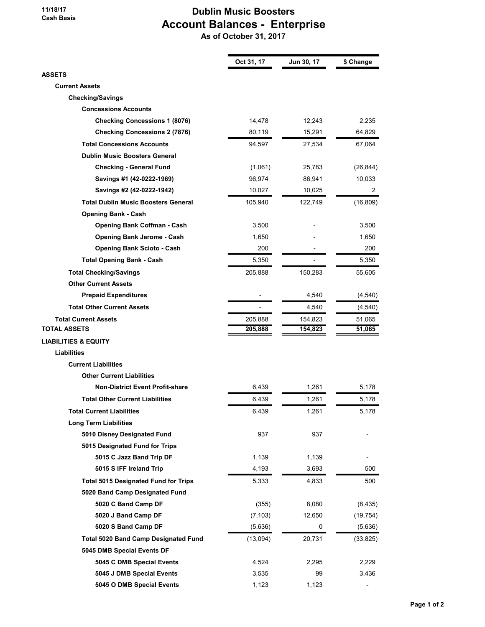## 11/18/17 Cash Basis

## Dublin Music Boosters Account Balances - Enterprise

As of October 31, 2017

|                                             | Oct 31, 17 | Jun 30, 17 | \$ Change      |
|---------------------------------------------|------------|------------|----------------|
| ASSETS                                      |            |            |                |
| <b>Current Assets</b>                       |            |            |                |
| <b>Checking/Savings</b>                     |            |            |                |
| <b>Concessions Accounts</b>                 |            |            |                |
| <b>Checking Concessions 1 (8076)</b>        | 14,478     | 12,243     | 2,235          |
| <b>Checking Concessions 2 (7876)</b>        | 80,119     | 15,291     | 64,829         |
| <b>Total Concessions Accounts</b>           | 94,597     | 27,534     | 67,064         |
| <b>Dublin Music Boosters General</b>        |            |            |                |
| <b>Checking - General Fund</b>              | (1,061)    | 25,783     | (26, 844)      |
| Savings #1 (42-0222-1969)                   | 96,974     | 86,941     | 10,033         |
| Savings #2 (42-0222-1942)                   | 10,027     | 10,025     | $\overline{2}$ |
| <b>Total Dublin Music Boosters General</b>  | 105,940    | 122,749    | (16, 809)      |
| <b>Opening Bank - Cash</b>                  |            |            |                |
| <b>Opening Bank Coffman - Cash</b>          | 3,500      |            | 3,500          |
| <b>Opening Bank Jerome - Cash</b>           | 1,650      |            | 1,650          |
| <b>Opening Bank Scioto - Cash</b>           | 200        |            | 200            |
| <b>Total Opening Bank - Cash</b>            | 5,350      |            | 5,350          |
| <b>Total Checking/Savings</b>               | 205,888    | 150,283    | 55,605         |
| <b>Other Current Assets</b>                 |            |            |                |
| <b>Prepaid Expenditures</b>                 |            | 4,540      | (4, 540)       |
| <b>Total Other Current Assets</b>           |            | 4,540      | (4, 540)       |
| <b>Total Current Assets</b>                 | 205,888    | 154,823    | 51,065         |
| TOTAL ASSETS                                | 205,888    | 154,823    | 51,065         |
| LIABILITIES & EQUITY                        |            |            |                |
| <b>Liabilities</b>                          |            |            |                |
| <b>Current Liabilities</b>                  |            |            |                |
| <b>Other Current Liabilities</b>            |            |            |                |
| <b>Non-District Event Profit-share</b>      | 6,439      | 1,261      | 5,178          |
| <b>Total Other Current Liabilities</b>      | 6,439      | 1,261      | 5,178          |
| <b>Total Current Liabilities</b>            | 6,439      | 1,261      | 5,178          |
| <b>Long Term Liabilities</b>                |            |            |                |
| 5010 Disney Designated Fund                 | 937        | 937        |                |
| 5015 Designated Fund for Trips              |            |            |                |
| 5015 C Jazz Band Trip DF                    | 1,139      | 1,139      |                |
| 5015 S IFF Ireland Trip                     | 4,193      | 3,693      | 500            |
| <b>Total 5015 Designated Fund for Trips</b> | 5,333      | 4,833      | 500            |
| 5020 Band Camp Designated Fund              |            |            |                |
| 5020 C Band Camp DF                         | (355)      | 8,080      | (8, 435)       |
| 5020 J Band Camp DF                         | (7, 103)   | 12,650     | (19, 754)      |
| 5020 S Band Camp DF                         | (5,636)    | 0          | (5,636)        |
| <b>Total 5020 Band Camp Designated Fund</b> | (13,094)   | 20,731     | (33, 825)      |
| 5045 DMB Special Events DF                  |            |            |                |
| 5045 C DMB Special Events                   | 4,524      | 2,295      | 2,229          |
| 5045 J DMB Special Events                   | 3,535      | 99         | 3,436          |
| 5045 O DMB Special Events                   | 1,123      | 1,123      |                |